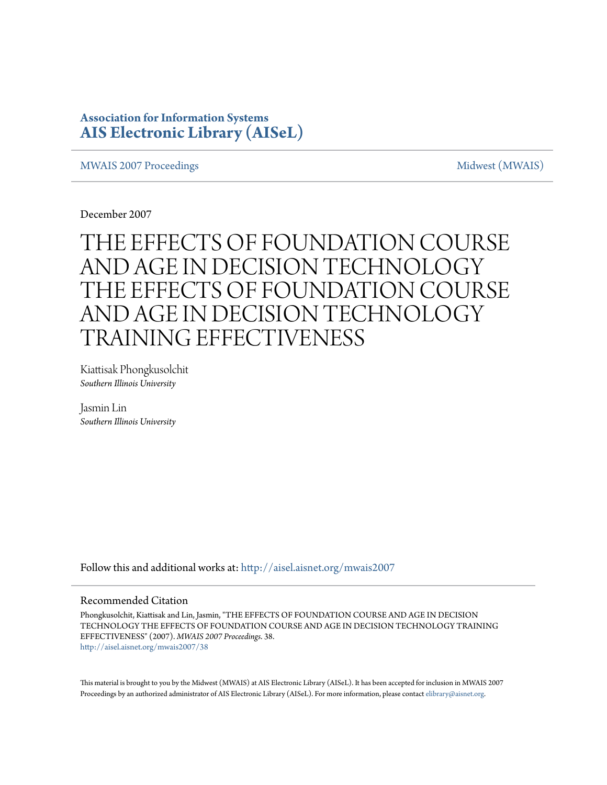### **Association for Information Systems [AIS Electronic Library \(AISeL\)](http://aisel.aisnet.org?utm_source=aisel.aisnet.org%2Fmwais2007%2F38&utm_medium=PDF&utm_campaign=PDFCoverPages)**

#### [MWAIS 2007 Proceedings](http://aisel.aisnet.org/mwais2007?utm_source=aisel.aisnet.org%2Fmwais2007%2F38&utm_medium=PDF&utm_campaign=PDFCoverPages) and the matrix of the [Midwest \(MWAIS\)](http://aisel.aisnet.org/mwais?utm_source=aisel.aisnet.org%2Fmwais2007%2F38&utm_medium=PDF&utm_campaign=PDFCoverPages)

December 2007

# THE EFFECTS OF FOUNDATION COURSE AND AGE IN DECISION TECHNOLOGY THE EFFECTS OF FOUNDATION COURSE AND AGE IN DECISION TECHNOLOGY TRAINING EFFECTIVENESS

Kiattisak Phongkusolchit *Southern Illinois University*

Jasmin Lin *Southern Illinois University*

Follow this and additional works at: [http://aisel.aisnet.org/mwais2007](http://aisel.aisnet.org/mwais2007?utm_source=aisel.aisnet.org%2Fmwais2007%2F38&utm_medium=PDF&utm_campaign=PDFCoverPages)

#### Recommended Citation

Phongkusolchit, Kiattisak and Lin, Jasmin, "THE EFFECTS OF FOUNDATION COURSE AND AGE IN DECISION TECHNOLOGY THE EFFECTS OF FOUNDATION COURSE AND AGE IN DECISION TECHNOLOGY TRAINING EFFECTIVENESS" (2007). *MWAIS 2007 Proceedings*. 38. [http://aisel.aisnet.org/mwais2007/38](http://aisel.aisnet.org/mwais2007/38?utm_source=aisel.aisnet.org%2Fmwais2007%2F38&utm_medium=PDF&utm_campaign=PDFCoverPages)

This material is brought to you by the Midwest (MWAIS) at AIS Electronic Library (AISeL). It has been accepted for inclusion in MWAIS 2007 Proceedings by an authorized administrator of AIS Electronic Library (AISeL). For more information, please contact [elibrary@aisnet.org](mailto:elibrary@aisnet.org%3E).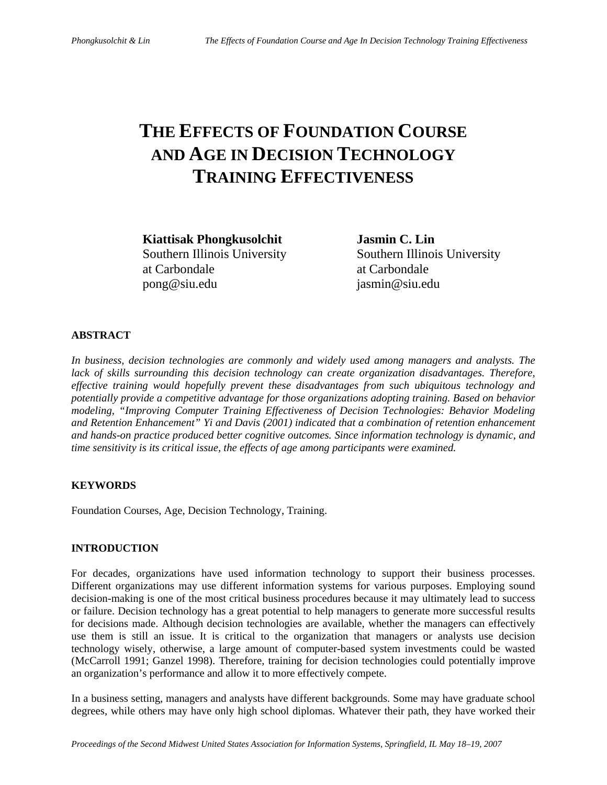## **THE EFFECTS OF FOUNDATION COURSE AND AGE IN DECISION TECHNOLOGY TRAINING EFFECTIVENESS**

**Kiattisak Phongkusolchit Jasmin C. Lin**  at Carbondale at Carbondale pong@siu.edu jasmin@siu.edu

Southern Illinois University Southern Illinois University

#### **ABSTRACT**

*In business, decision technologies are commonly and widely used among managers and analysts. The lack of skills surrounding this decision technology can create organization disadvantages. Therefore, effective training would hopefully prevent these disadvantages from such ubiquitous technology and potentially provide a competitive advantage for those organizations adopting training. Based on behavior modeling, "Improving Computer Training Effectiveness of Decision Technologies: Behavior Modeling and Retention Enhancement" Yi and Davis (2001) indicated that a combination of retention enhancement and hands-on practice produced better cognitive outcomes. Since information technology is dynamic, and time sensitivity is its critical issue, the effects of age among participants were examined.* 

#### **KEYWORDS**

Foundation Courses, Age, Decision Technology, Training.

#### **INTRODUCTION**

For decades, organizations have used information technology to support their business processes. Different organizations may use different information systems for various purposes. Employing sound decision-making is one of the most critical business procedures because it may ultimately lead to success or failure. Decision technology has a great potential to help managers to generate more successful results for decisions made. Although decision technologies are available, whether the managers can effectively use them is still an issue. It is critical to the organization that managers or analysts use decision technology wisely, otherwise, a large amount of computer-based system investments could be wasted (McCarroll 1991; Ganzel 1998). Therefore, training for decision technologies could potentially improve an organization's performance and allow it to more effectively compete.

In a business setting, managers and analysts have different backgrounds. Some may have graduate school degrees, while others may have only high school diplomas. Whatever their path, they have worked their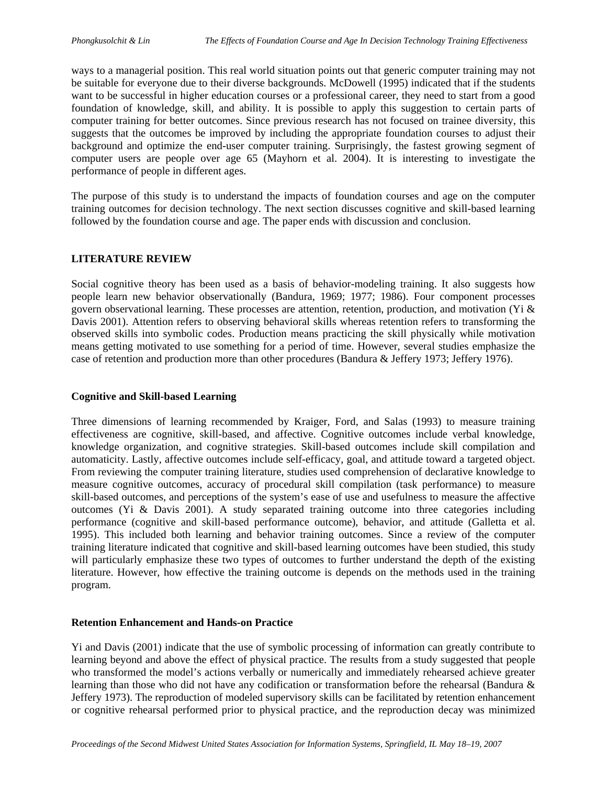ways to a managerial position. This real world situation points out that generic computer training may not be suitable for everyone due to their diverse backgrounds. McDowell (1995) indicated that if the students want to be successful in higher education courses or a professional career, they need to start from a good foundation of knowledge, skill, and ability. It is possible to apply this suggestion to certain parts of computer training for better outcomes. Since previous research has not focused on trainee diversity, this suggests that the outcomes be improved by including the appropriate foundation courses to adjust their background and optimize the end-user computer training. Surprisingly, the fastest growing segment of computer users are people over age 65 (Mayhorn et al. 2004). It is interesting to investigate the performance of people in different ages.

The purpose of this study is to understand the impacts of foundation courses and age on the computer training outcomes for decision technology. The next section discusses cognitive and skill-based learning followed by the foundation course and age. The paper ends with discussion and conclusion.

#### **LITERATURE REVIEW**

Social cognitive theory has been used as a basis of behavior-modeling training. It also suggests how people learn new behavior observationally (Bandura, 1969; 1977; 1986). Four component processes govern observational learning. These processes are attention, retention, production, and motivation (Yi & Davis 2001). Attention refers to observing behavioral skills whereas retention refers to transforming the observed skills into symbolic codes. Production means practicing the skill physically while motivation means getting motivated to use something for a period of time. However, several studies emphasize the case of retention and production more than other procedures (Bandura & Jeffery 1973; Jeffery 1976).

#### **Cognitive and Skill-based Learning**

Three dimensions of learning recommended by Kraiger, Ford, and Salas (1993) to measure training effectiveness are cognitive, skill-based, and affective. Cognitive outcomes include verbal knowledge, knowledge organization, and cognitive strategies. Skill-based outcomes include skill compilation and automaticity. Lastly, affective outcomes include self-efficacy, goal, and attitude toward a targeted object. From reviewing the computer training literature, studies used comprehension of declarative knowledge to measure cognitive outcomes, accuracy of procedural skill compilation (task performance) to measure skill-based outcomes, and perceptions of the system's ease of use and usefulness to measure the affective outcomes (Yi & Davis 2001). A study separated training outcome into three categories including performance (cognitive and skill-based performance outcome), behavior, and attitude (Galletta et al. 1995). This included both learning and behavior training outcomes. Since a review of the computer training literature indicated that cognitive and skill-based learning outcomes have been studied, this study will particularly emphasize these two types of outcomes to further understand the depth of the existing literature. However, how effective the training outcome is depends on the methods used in the training program.

#### **Retention Enhancement and Hands-on Practice**

Yi and Davis (2001) indicate that the use of symbolic processing of information can greatly contribute to learning beyond and above the effect of physical practice. The results from a study suggested that people who transformed the model's actions verbally or numerically and immediately rehearsed achieve greater learning than those who did not have any codification or transformation before the rehearsal (Bandura & Jeffery 1973). The reproduction of modeled supervisory skills can be facilitated by retention enhancement or cognitive rehearsal performed prior to physical practice, and the reproduction decay was minimized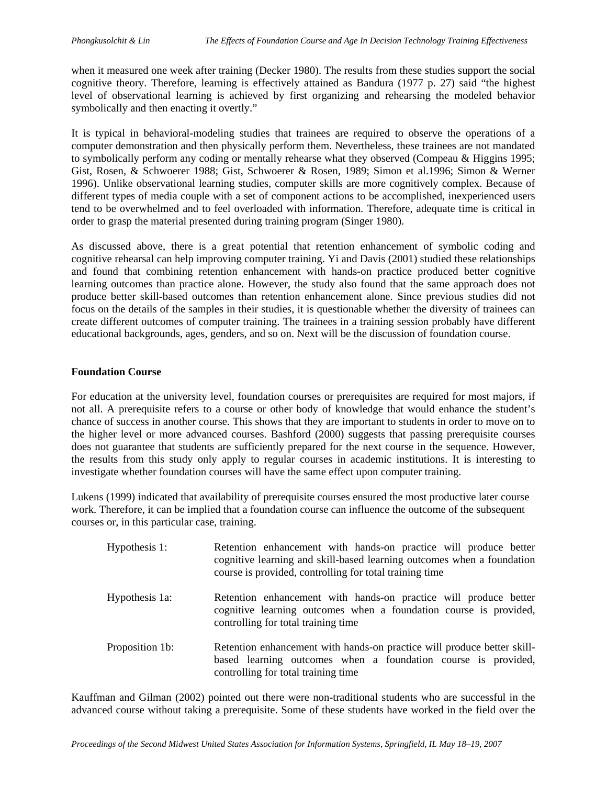when it measured one week after training (Decker 1980). The results from these studies support the social cognitive theory. Therefore, learning is effectively attained as Bandura (1977 p. 27) said "the highest level of observational learning is achieved by first organizing and rehearsing the modeled behavior symbolically and then enacting it overtly."

It is typical in behavioral-modeling studies that trainees are required to observe the operations of a computer demonstration and then physically perform them. Nevertheless, these trainees are not mandated to symbolically perform any coding or mentally rehearse what they observed (Compeau & Higgins 1995; Gist, Rosen, & Schwoerer 1988; Gist, Schwoerer & Rosen, 1989; Simon et al.1996; Simon & Werner 1996). Unlike observational learning studies, computer skills are more cognitively complex. Because of different types of media couple with a set of component actions to be accomplished, inexperienced users tend to be overwhelmed and to feel overloaded with information. Therefore, adequate time is critical in order to grasp the material presented during training program (Singer 1980).

As discussed above, there is a great potential that retention enhancement of symbolic coding and cognitive rehearsal can help improving computer training. Yi and Davis (2001) studied these relationships and found that combining retention enhancement with hands-on practice produced better cognitive learning outcomes than practice alone. However, the study also found that the same approach does not produce better skill-based outcomes than retention enhancement alone. Since previous studies did not focus on the details of the samples in their studies, it is questionable whether the diversity of trainees can create different outcomes of computer training. The trainees in a training session probably have different educational backgrounds, ages, genders, and so on. Next will be the discussion of foundation course.

#### **Foundation Course**

For education at the university level, foundation courses or prerequisites are required for most majors, if not all. A prerequisite refers to a course or other body of knowledge that would enhance the student's chance of success in another course. This shows that they are important to students in order to move on to the higher level or more advanced courses. Bashford (2000) suggests that passing prerequisite courses does not guarantee that students are sufficiently prepared for the next course in the sequence. However, the results from this study only apply to regular courses in academic institutions. It is interesting to investigate whether foundation courses will have the same effect upon computer training.

Lukens (1999) indicated that availability of prerequisite courses ensured the most productive later course work. Therefore, it can be implied that a foundation course can influence the outcome of the subsequent courses or, in this particular case, training.

| Hypothesis 1:   | Retention enhancement with hands-on practice will produce better<br>cognitive learning and skill-based learning outcomes when a foundation<br>course is provided, controlling for total training time |
|-----------------|-------------------------------------------------------------------------------------------------------------------------------------------------------------------------------------------------------|
| Hypothesis 1a:  | Retention enhancement with hands-on practice will produce better<br>cognitive learning outcomes when a foundation course is provided,<br>controlling for total training time                          |
| Proposition 1b: | Retention enhancement with hands-on practice will produce better skill-<br>based learning outcomes when a foundation course is provided,<br>controlling for total training time                       |

Kauffman and Gilman (2002) pointed out there were non-traditional students who are successful in the advanced course without taking a prerequisite. Some of these students have worked in the field over the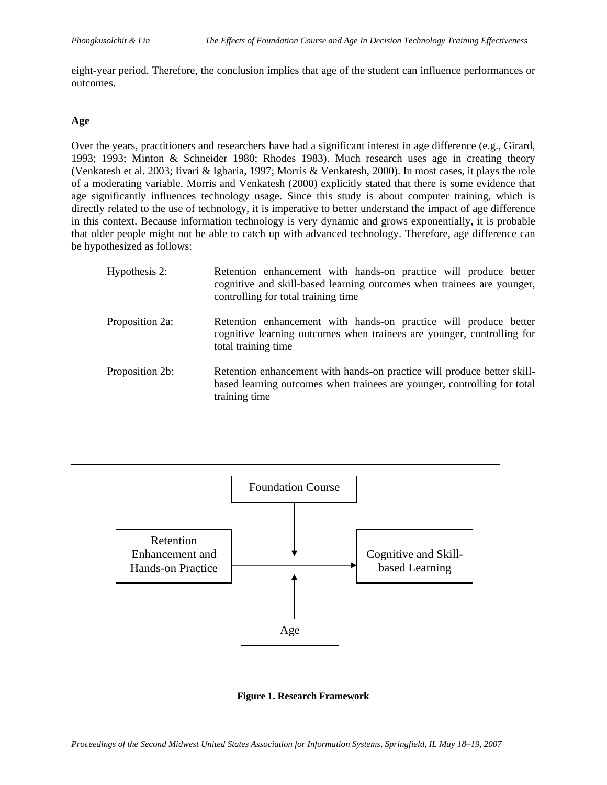eight-year period. Therefore, the conclusion implies that age of the student can influence performances or outcomes.

#### **Age**

Over the years, practitioners and researchers have had a significant interest in age difference (e.g., Girard, 1993; 1993; Minton & Schneider 1980; Rhodes 1983). Much research uses age in creating theory (Venkatesh et al. 2003; Iivari & Igbaria, 1997; Morris & Venkatesh, 2000). In most cases, it plays the role of a moderating variable. Morris and Venkatesh (2000) explicitly stated that there is some evidence that age significantly influences technology usage. Since this study is about computer training, which is directly related to the use of technology, it is imperative to better understand the impact of age difference in this context. Because information technology is very dynamic and grows exponentially, it is probable that older people might not be able to catch up with advanced technology. Therefore, age difference can be hypothesized as follows:

| Hypothesis 2:   | Retention enhancement with hands-on practice will produce better<br>cognitive and skill-based learning outcomes when trainees are younger,<br>controlling for total training time |
|-----------------|-----------------------------------------------------------------------------------------------------------------------------------------------------------------------------------|
| Proposition 2a: | Retention enhancement with hands-on practice will produce better<br>cognitive learning outcomes when trainees are younger, controlling for<br>total training time                 |
| Proposition 2b: | Retention enhancement with hands-on practice will produce better skill-<br>based learning outcomes when trainees are younger, controlling for total<br>training time              |



#### **Figure 1. Research Framework**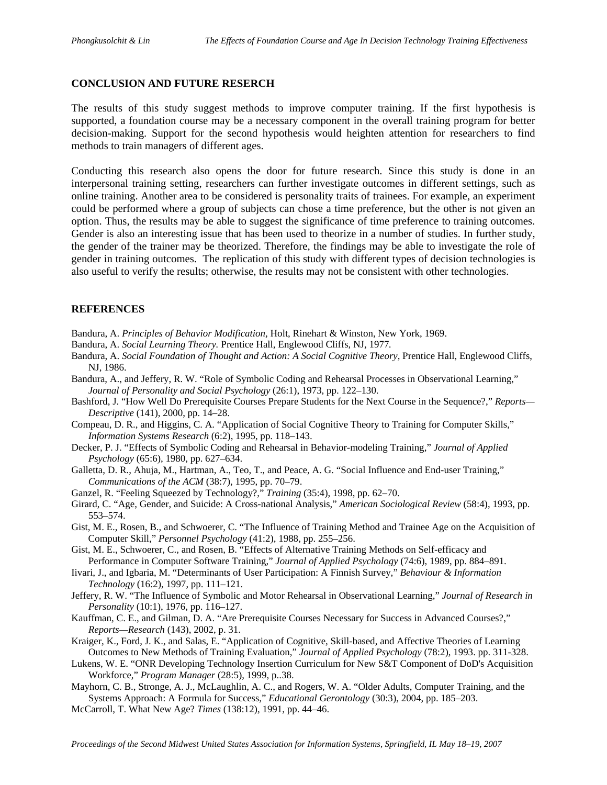#### **CONCLUSION AND FUTURE RESERCH**

The results of this study suggest methods to improve computer training. If the first hypothesis is supported, a foundation course may be a necessary component in the overall training program for better decision-making. Support for the second hypothesis would heighten attention for researchers to find methods to train managers of different ages.

Conducting this research also opens the door for future research. Since this study is done in an interpersonal training setting, researchers can further investigate outcomes in different settings, such as online training. Another area to be considered is personality traits of trainees. For example, an experiment could be performed where a group of subjects can chose a time preference, but the other is not given an option. Thus, the results may be able to suggest the significance of time preference to training outcomes. Gender is also an interesting issue that has been used to theorize in a number of studies. In further study, the gender of the trainer may be theorized. Therefore, the findings may be able to investigate the role of gender in training outcomes. The replication of this study with different types of decision technologies is also useful to verify the results; otherwise, the results may not be consistent with other technologies.

#### **REFERENCES**

- Bandura, A. *Principles of Behavior Modification,* Holt, Rinehart & Winston, New York, 1969.
- Bandura, A. *Social Learning Theory.* Prentice Hall, Englewood Cliffs, NJ, 1977*.*
- Bandura, A. *Social Foundation of Thought and Action: A Social Cognitive Theory,* Prentice Hall, Englewood Cliffs, NJ, 1986.
- Bandura, A., and Jeffery, R. W. "Role of Symbolic Coding and Rehearsal Processes in Observational Learning," *Journal of Personality and Social Psychology* (26:1), 1973, pp. 122–130.
- Bashford, J. "How Well Do Prerequisite Courses Prepare Students for the Next Course in the Sequence?," *Reports— Descriptive* (141), 2000, pp. 14–28.
- Compeau, D. R., and Higgins, C. A. "Application of Social Cognitive Theory to Training for Computer Skills," *Information Systems Research* (6:2), 1995, pp. 118–143.
- Decker, P. J. "Effects of Symbolic Coding and Rehearsal in Behavior-modeling Training," *Journal of Applied Psychology* (65:6), 1980, pp. 627–634.
- Galletta, D. R., Ahuja, M., Hartman, A., Teo, T., and Peace, A. G. "Social Influence and End-user Training," *Communications of the ACM* (38:7), 1995, pp. 70–79.
- Ganzel, R. "Feeling Squeezed by Technology?," *Training* (35:4), 1998, pp. 62–70.
- Girard, C. "Age, Gender, and Suicide: A Cross-national Analysis," *American Sociological Review* (58:4), 1993, pp. 553–574.
- Gist, M. E., Rosen, B., and Schwoerer, C. "The Influence of Training Method and Trainee Age on the Acquisition of Computer Skill," *Personnel Psychology* (41:2), 1988, pp. 255–256.
- Gist, M. E., Schwoerer, C., and Rosen, B. "Effects of Alternative Training Methods on Self-efficacy and Performance in Computer Software Training," *Journal of Applied Psychology* (74:6), 1989, pp. 884–891.
- Iivari, J., and Igbaria, M. "Determinants of User Participation: A Finnish Survey," *Behaviour & Information Technology* (16:2), 1997, pp. 111–121.
- Jeffery, R. W. "The Influence of Symbolic and Motor Rehearsal in Observational Learning," *Journal of Research in Personality* (10:1), 1976, pp. 116–127.
- Kauffman, C. E., and Gilman, D. A. "Are Prerequisite Courses Necessary for Success in Advanced Courses?," *Reports—Research* (143), 2002, p. 31.
- Kraiger, K., Ford, J. K., and Salas, E. "Application of Cognitive, Skill-based, and Affective Theories of Learning Outcomes to New Methods of Training Evaluation," *Journal of Applied Psychology* (78:2), 1993. pp. 311-328.
- Lukens, W. E. "ONR Developing Technology Insertion Curriculum for New S&T Component of DoD's Acquisition Workforce," *Program Manager* (28:5), 1999, p..38.
- Mayhorn, C. B., Stronge, A. J., McLaughlin, A. C., and Rogers, W. A. "Older Adults, Computer Training, and the Systems Approach: A Formula for Success," *Educational Gerontology* (30:3), 2004, pp. 185–203.
- McCarroll, T. What New Age? *Times* (138:12), 1991, pp. 44–46.